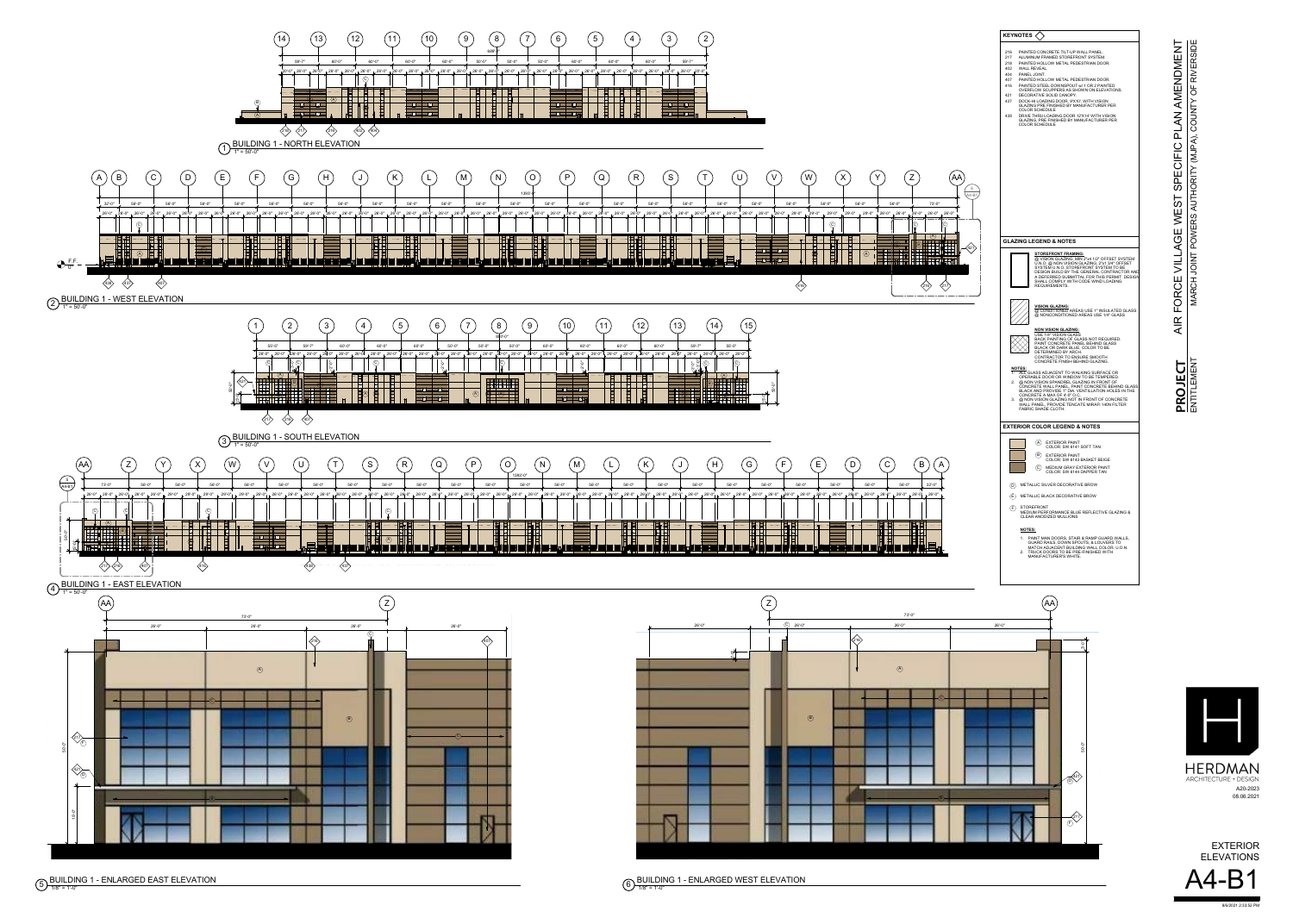**PROJE** ENTITLEMENT



MARCH JOINT POWERS AUTHORITY (MJPA), COUNTY OF RIVERSIDE RIVERSID OF  $\sim$ ▏┝╾ **NNO**  $\bigcirc$  $\overline{M}$  $\overline{\alpha}$  $Q<sub>1</sub>$  $\Box$ ◀  $\overline{\mathbf{R}}$  $\overline{O}$  $\Omega$  $\vdash$ **NIOL** HO  $\overline{A}$ 

 $6)$   $\frac{1011111}{1/8" = 1'-0"}$ BUILDING 1 - ENLARGED WEST ELEVATION

8/6/2021 2:33:52 PM

A20-2023 08.06.2021





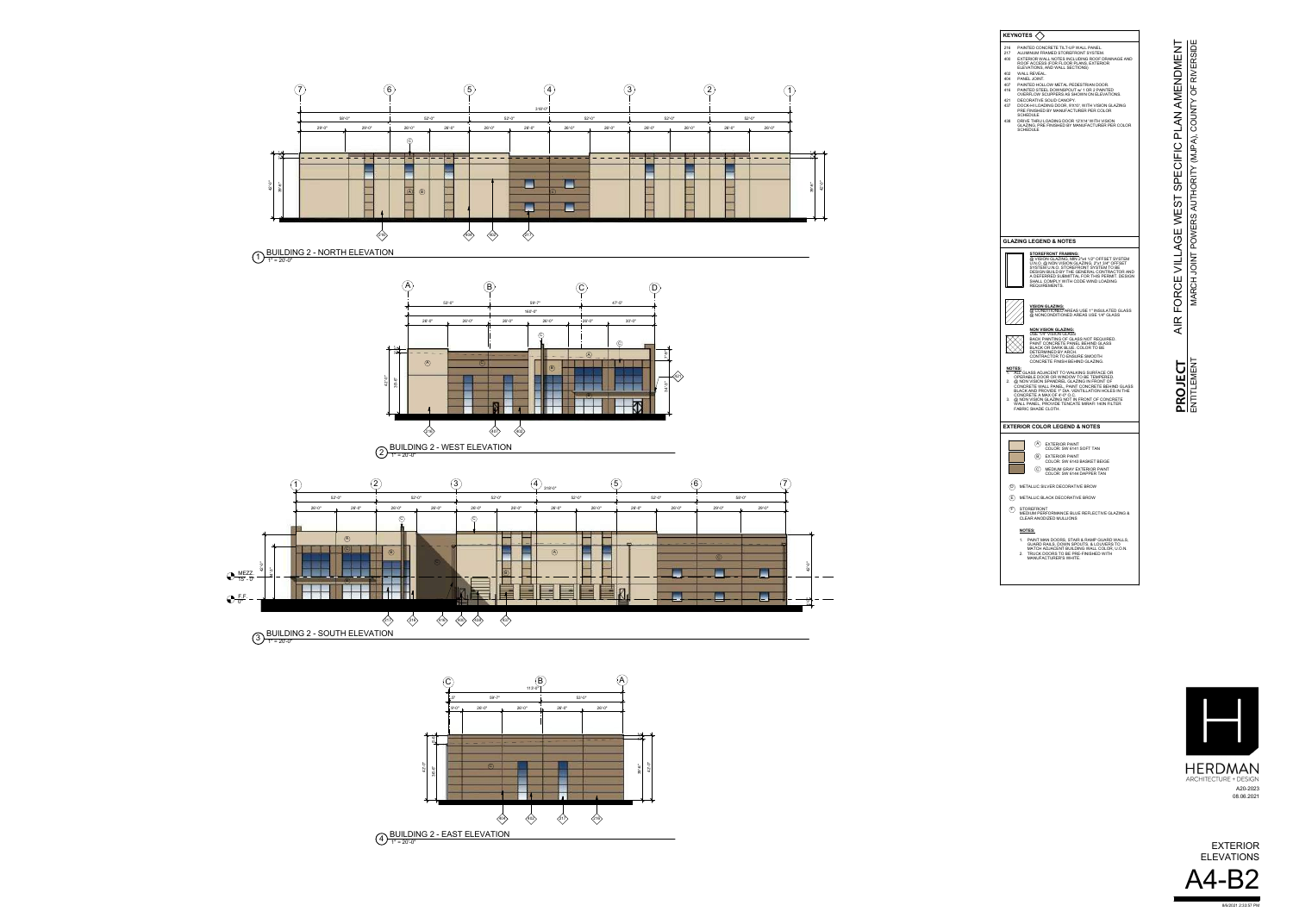

MARCH JOINT POWERS AUTHORITY (MJPA), COUNTY OF RIVERSIDE **COUNT**  $|\hat{z}|$  $\frac{1}{\sqrt{N}}$ **HORI AUT** ERS  $\overline{O}$ TNIOL **MARCH** 

HERDMAN<br>ARCHITECTURE + DESIGN A20-2023 08.06.2021







| <b>KEYNOTES</b>                                                                                                                                                                                                                                                                                                                                                                                                                                 |
|-------------------------------------------------------------------------------------------------------------------------------------------------------------------------------------------------------------------------------------------------------------------------------------------------------------------------------------------------------------------------------------------------------------------------------------------------|
| <b>PAINTED CONCRETE TILT-UP WALL PANEL.</b><br>216<br>ALUMINUM FRAMED STOREFRONT SYSTEM.<br>217<br>EXTERIOR WALL NOTES INCLUDING ROOF DRAINAGE AND<br>400<br>ROOF ACCESS (FOR FLOOR PLANS, EXTERIOR<br>ELEVATIONS, AND WALL SECTIONS)<br>402<br>WALL REVEAL.                                                                                                                                                                                    |
| PANEL JOINT.<br>404<br>407<br>PAINTED HOLLOW METAL PEDESTRIAN DOOR.<br>416<br>PAINTED STEEL DOWNSPOUT W/ 1 OR 2 PAINTED<br>OVERFLOW SCUPPERS AS SHOWN ON ELEVATIONS.<br>DECORATIVE SOLID CANOPY.<br>421                                                                                                                                                                                                                                         |
| 437<br>DOCK-HI LOADING DOOR, 9'X10', WITH VISION GLAZING<br>PRE FINISHED BY MANUFACTURER PER COLOR<br><b>SCHEDULE</b><br>438<br>DRIVE THRU LOADING DOOR 12'X14' WITH VISION<br>GLAZING, PRE FINISHED BY MANUFACTURER PER COLOR                                                                                                                                                                                                                  |
| <b>SCHEDULE</b>                                                                                                                                                                                                                                                                                                                                                                                                                                 |
|                                                                                                                                                                                                                                                                                                                                                                                                                                                 |
|                                                                                                                                                                                                                                                                                                                                                                                                                                                 |
|                                                                                                                                                                                                                                                                                                                                                                                                                                                 |
|                                                                                                                                                                                                                                                                                                                                                                                                                                                 |
| <b>GLAZING LEGEND &amp; NOTES</b>                                                                                                                                                                                                                                                                                                                                                                                                               |
| <b>STOREFRONT FRAMING:</b><br>@ VISION GLAZING, MIN 2"x4 1/2" OFFSET SYSTEM<br>U.N.O. @ NON VISION GLAZING, 2"x1 3/4" OFFSET<br>SYSTEM U.N.O. STOREFRONT SYSTEM TO BE<br>DESIGN BUILD BY THE GENERAL CONTRACTOR AND<br>A DEFERRED SUBMITTAL FOR THIS PERMIT. DESIGN<br>SHALL COMPLY WITH CODE WIND LOADING<br>REQUIREMENTS.                                                                                                                     |
| <b>VISION GLAZING:</b><br>@ CONDITIONED AREAS USE 1" INSULATED GLASS<br>@ NONCONDITIONED AREAS USE 1/4" GLASS                                                                                                                                                                                                                                                                                                                                   |
| <b>NON VISION GLAZING:</b><br>USE 1/4" VISION GLASS<br><b>BACK PAINTING OF GLASS NOT REQUIRED.</b><br>PAINT CONCRETE PANEL BEHIND GLASS<br>BLACK OR DARK BLUE, COLOR TO BE<br>DETERMINED BY ARCH.<br>CONTRACTOR TO ENSURE SMOOTH<br>CONCRETE FINISH BEHIND GLAZING.                                                                                                                                                                             |
| <b>NOTES:</b><br>ALL GLASS ADJACENT TO WALKING SURFACE OR<br>1.<br>OPERABLE DOOR OR WINDOW TO BE TEMPERED.<br>@ NON VISION SPANDREL GLAZING IN FRONT OF<br>2.<br>CONCRETE WALL PANEL, PAINT CONCRETE BEHIND GLASS<br>BLACK AND PROVIDE 1" DIA. VENTILLATION HOLES IN THE<br>CONCRETE A MAX OF 4'-0" O.C.<br>@ NON VISION GLAZING NOT IN FRONT OF CONCRETE<br>3.<br>WALL PANEL, PROVIDE TENCATE MIRAFI 140N FILTER<br><b>FABRIC SHADE CLOTH.</b> |
| <b>EXTERIOR COLOR LEGEND &amp; NOTES</b>                                                                                                                                                                                                                                                                                                                                                                                                        |
| (A)<br><b>EXTERIOR PAINT</b><br>COLOR: SW 6141 SOFT TAN                                                                                                                                                                                                                                                                                                                                                                                         |
| $\mathsf{(B)}$<br><b>EXTERIOR PAINT</b><br>COLOR: SW 6143 BASKET BEIGE                                                                                                                                                                                                                                                                                                                                                                          |
| $\left( \mathbf{C}\right)$<br>MEDIUM GRAY EXTERIOR PAINT<br>COLOR: SW 6144 DAPPER TAN                                                                                                                                                                                                                                                                                                                                                           |
| METALLIC SILVER DECORATIVE BROW<br>(D)                                                                                                                                                                                                                                                                                                                                                                                                          |
| (E)<br><b>METALLIC BLACK DECORATIVE BROW</b>                                                                                                                                                                                                                                                                                                                                                                                                    |
| $(\mathsf{F})$<br><b>STOREFRONT</b><br>MEDIUM PERFORMANCE BLUE REFLECTIVE GLAZING &<br>CLEAR ANODIZED MULLIONS                                                                                                                                                                                                                                                                                                                                  |
| <b>NOTES:</b><br>1. PAINT MAN DOORS, STAIR & RAMP GUARD WALLS,<br>GUARD RAILS, DOWN SPOUTS, & LOUVERS TO<br>MATCH ADJACENT BUILDING WALL COLOR, U.O.N.<br>TRUCK DOORS TO BE PRE-FINISHED WITH<br>2.<br><b>MANUFACTURER'S WHITE.</b>                                                                                                                                                                                                             |

8/6/2021 2:33:57 PM











 $3)$   $\frac{101}{1}$  = 20'-0"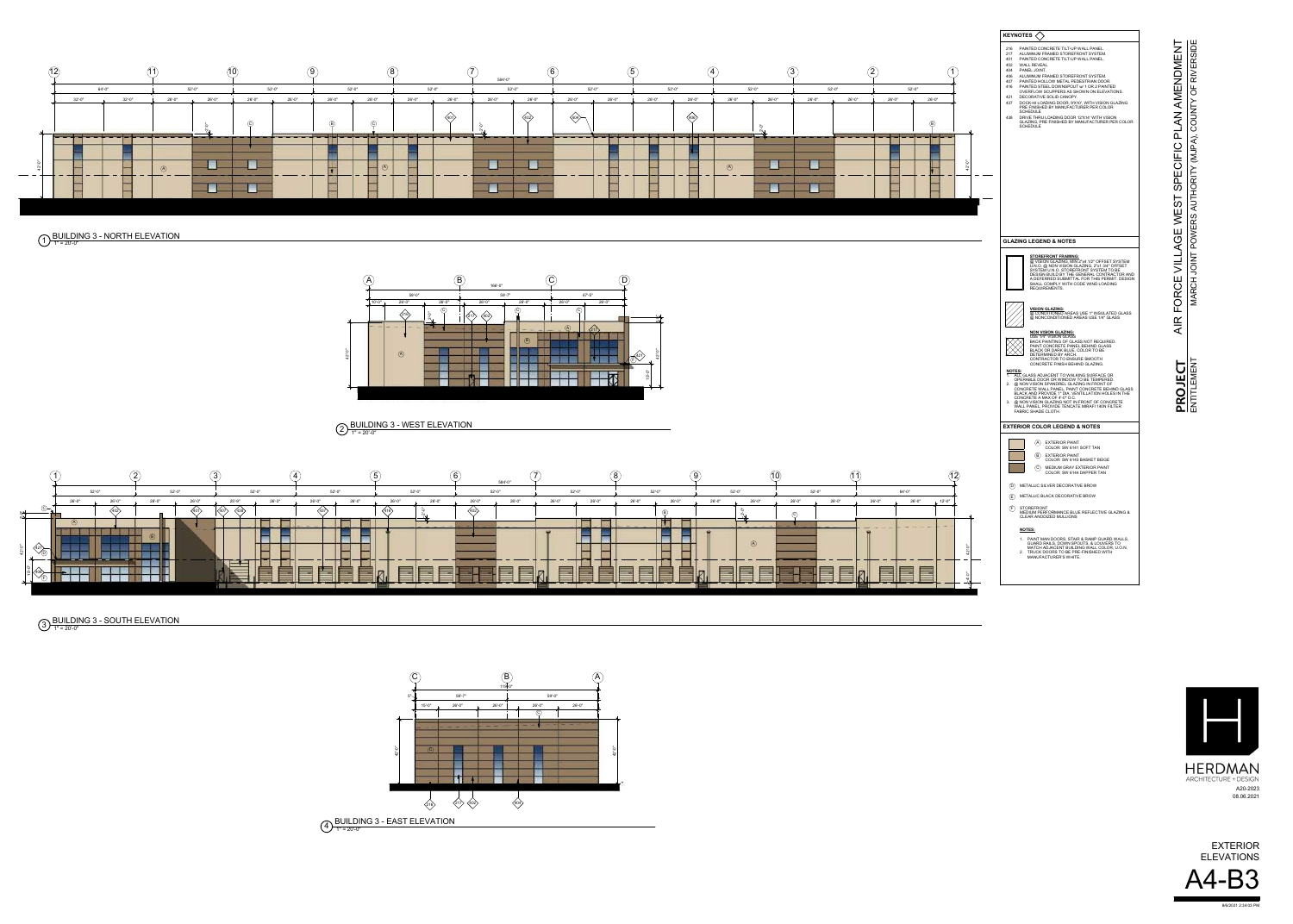MARCH JOINT POWERS AUTHORITY (MJPA), COUNTY OF RIVERSIDE RIVERSIDI OF COUNT  $|\hat{a}|$  $\overline{M}$ ⊢  $\overline{\mathbf{R}}$  $Q<sub>F</sub>$ ⊢ UA<sub>U</sub> **BS DO** TNIOL **ARCH**  $\sum$ 

HERDMAN<br>ARCHITECTURE + DESIGN A20-2023 08.06.2021



















8/6/2021 2:34:03 PM



## $\bigoplus_{1}^{1}$   $\bigoplus_{20}^{1}$